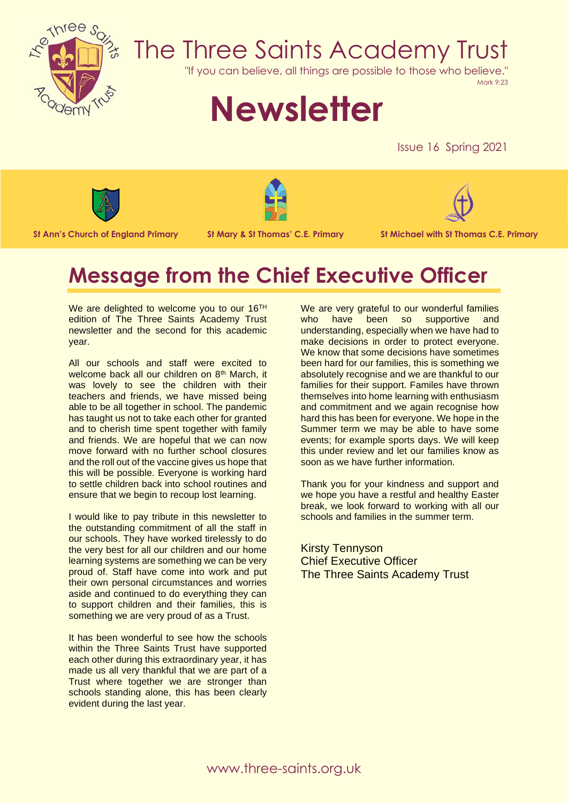

## The Three Saints Academy Trust

"If you can believe, all things are possible to those who believe."

Mark 9:23

# **Newsletter**

Issue 16 Spring 2021







**St Ann's Church of England Primary St Mary & St Thomas' C.E. Primary St Michael with St Thomas C.E. Primary**

## **Message from the Chief Executive Officer**

We are delighted to welcome you to our 16<sup>TH</sup> edition of The Three Saints Academy Trust newsletter and the second for this academic year.

All our schools and staff were excited to welcome back all our children on 8<sup>th</sup> March, it was lovely to see the children with their teachers and friends, we have missed being able to be all together in school. The pandemic has taught us not to take each other for granted and to cherish time spent together with family and friends. We are hopeful that we can now move forward with no further school closures and the roll out of the vaccine gives us hope that this will be possible. Everyone is working hard to settle children back into school routines and ensure that we begin to recoup lost learning.

I would like to pay tribute in this newsletter to the outstanding commitment of all the staff in our schools. They have worked tirelessly to do the very best for all our children and our home learning systems are something we can be very proud of. Staff have come into work and put their own personal circumstances and worries aside and continued to do everything they can to support children and their families, this is something we are very proud of as a Trust.

It has been wonderful to see how the schools within the Three Saints Trust have supported each other during this extraordinary year, it has made us all very thankful that we are part of a Trust where together we are stronger than schools standing alone, this has been clearly evident during the last year.

We are very grateful to our wonderful families who have been so supportive and understanding, especially when we have had to make decisions in order to protect everyone. We know that some decisions have sometimes been hard for our families, this is something we absolutely recognise and we are thankful to our families for their support. Familes have thrown themselves into home learning with enthusiasm and commitment and we again recognise how hard this has been for everyone. We hope in the Summer term we may be able to have some events; for example sports days. We will keep this under review and let our families know as soon as we have further information.

Thank you for your kindness and support and we hope you have a restful and healthy Easter break, we look forward to working with all our schools and families in the summer term.

Kirsty Tennyson Chief Executive Officer The Three Saints Academy Trust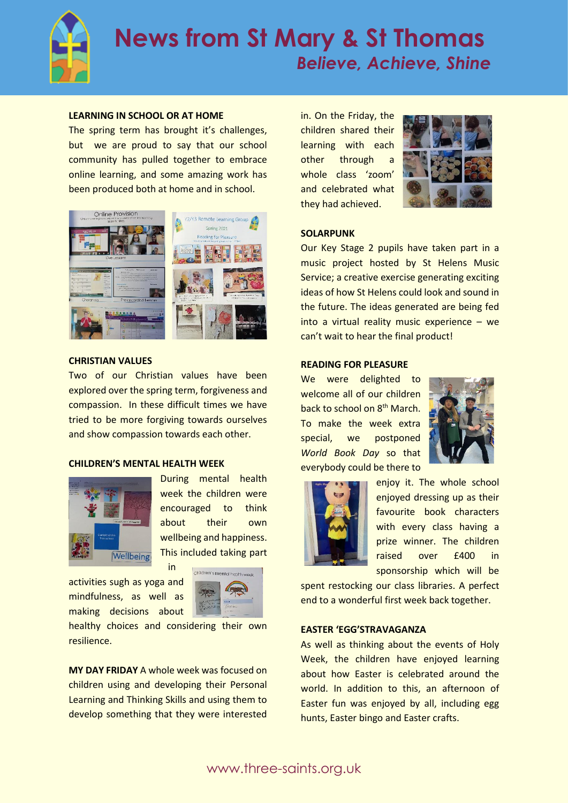

### **News from St Mary & St Thomas**  *Believe, Achieve, Shine*

#### **LEARNING IN SCHOOL OR AT HOME**

The spring term has brought it's challenges, but we are proud to say that our school community has pulled together to embrace online learning, and some amazing work has been produced both at home and in school.



#### **CHRISTIAN VALUES**

Two of our Christian values have been explored over the spring term, forgiveness and compassion. In these difficult times we have tried to be more forgiving towards ourselves and show compassion towards each other.

#### **CHILDREN'S MENTAL HEALTH WEEK**



During mental health week the children were encouraged to think about their own wellbeing and happiness. This included taking part

activities sugh as yoga and mindfulness, as well as making decisions about



healthy choices and considering their own resilience.

in

**MY DAY FRIDAY** A whole week was focused on children using and developing their Personal Learning and Thinking Skills and using them to develop something that they were interested in. On the Friday, the children shared their learning with each other through a whole class 'zoom' and celebrated what they had achieved.



#### **SOLARPUNK**

Our Key Stage 2 pupils have taken part in a music project hosted by St Helens Music Service; a creative exercise generating exciting ideas of how St Helens could look and sound in the future. The ideas generated are being fed into a virtual reality music experience – we can't wait to hear the final product!

#### **READING FOR PLEASURE**

We were delighted to welcome all of our children back to school on 8<sup>th</sup> March. To make the week extra special, we postponed *World Book Day* so that everybody could be there to





enjoy it. The whole school enjoyed dressing up as their favourite book characters with every class having a prize winner. The children raised over £400 in sponsorship which will be

spent restocking our class libraries. A perfect end to a wonderful first week back together.

#### **EASTER 'EGG'STRAVAGANZA**

As well as thinking about the events of Holy Week, the children have enjoyed learning about how Easter is celebrated around the world. In addition to this, an afternoon of Easter fun was enjoyed by all, including egg hunts, Easter bingo and Easter crafts.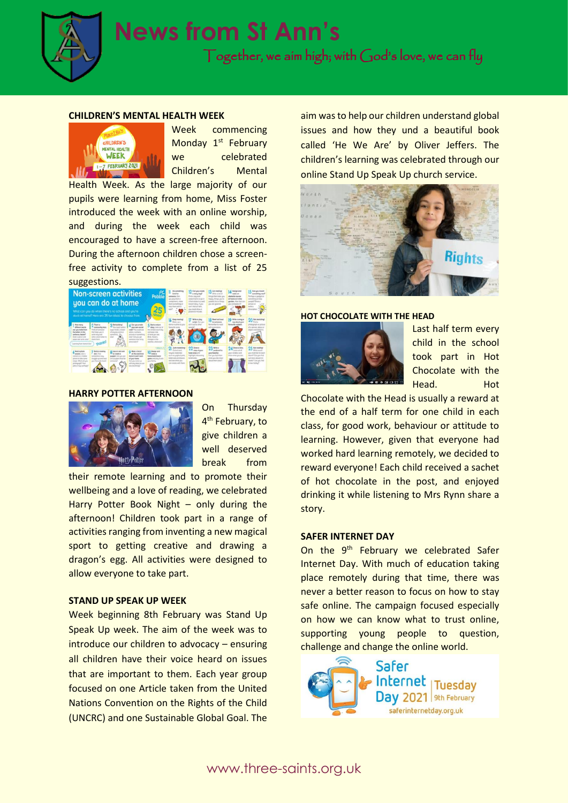

#### **CHILDREN'S MENTAL HEALTH WEEK**



Week commencing Monday 1<sup>st</sup> February we celebrated Children's Mental

Health Week. As the large majority of our pupils were learning from home, Miss Foster introduced the week with an online worship, and during the week each child was encouraged to have a screen-free afternoon. During the afternoon children chose a screenfree activity to complete from a list of 25



#### **HARRY POTTER AFTERNOON**



On Thursday 4<sup>th</sup> February, to give children a well deserved break from

their remote learning and to promote their wellbeing and a love of reading, we celebrated Harry Potter Book Night – only during the afternoon! Children took part in a range of activities ranging from inventing a new magical sport to getting creative and drawing a dragon's egg. All activities were designed to allow everyone to take part.

#### **STAND UP SPEAK UP WEEK**

Week beginning 8th February was Stand Up Speak Up week. The aim of the week was to introduce our children to advocacy – ensuring all children have their voice heard on issues that are important to them. Each year group focused on one Article taken from the United Nations Convention on the Rights of the Child (UNCRC) and one Sustainable Global Goal. The

aim was to help our children understand global issues and how they und a beautiful book called 'He We Are' by Oliver Jeffers. The children's learning was celebrated through our online Stand Up Speak Up church service.



#### **HOT CHOCOLATE WITH THE HEAD**



Last half term every child in the school took part in Hot Chocolate with the Head. Hot

Chocolate with the Head is usually a reward at the end of a half term for one child in each class, for good work, behaviour or attitude to learning. However, given that everyone had worked hard learning remotely, we decided to reward everyone! Each child received a sachet of hot chocolate in the post, and enjoyed drinking it while listening to Mrs Rynn share a story.

#### **SAFER INTERNET DAY**

On the 9<sup>th</sup> February we celebrated Safer Internet Day. With much of education taking place remotely during that time, there was never a better reason to focus on how to stay safe online. The campaign focused especially on how we can know what to trust online, supporting young people to question, challenge and change the online world.